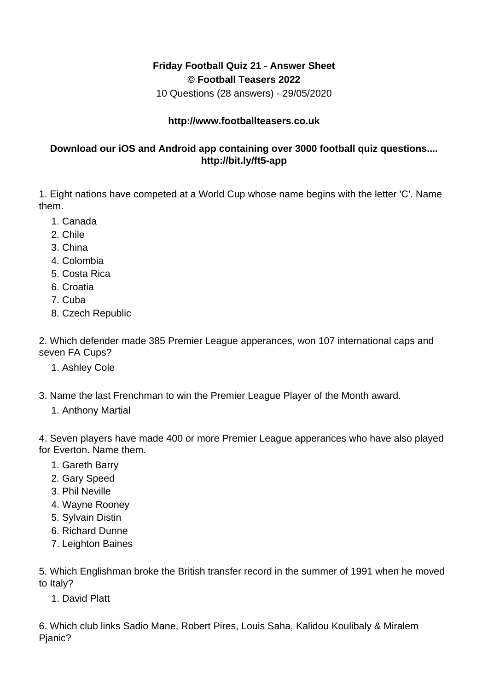## **Friday Football Quiz 21 - Answer Sheet © Football Teasers 2022**

10 Questions (28 answers) - 29/05/2020

## **http://www.footballteasers.co.uk**

## **Download our iOS and Android app containing over 3000 football quiz questions.... http://bit.ly/ft5-app**

1. Eight nations have competed at a World Cup whose name begins with the letter 'C'. Name them.

- 1. Canada
- 2. Chile
- 3. China
- 4. Colombia
- 5. Costa Rica
- 6. Croatia
- 7. Cuba
- 8. Czech Republic

2. Which defender made 385 Premier League apperances, won 107 international caps and seven FA Cups?

- 1. Ashley Cole
- 3. Name the last Frenchman to win the Premier League Player of the Month award.
	- 1. Anthony Martial

4. Seven players have made 400 or more Premier League apperances who have also played for Everton. Name them.

- 1. Gareth Barry
- 2. Gary Speed
- 3. Phil Neville
- 4. Wayne Rooney
- 5. Sylvain Distin
- 6. Richard Dunne
- 7. Leighton Baines

5. Which Englishman broke the British transfer record in the summer of 1991 when he moved to Italy?

1. David Platt

6. Which club links Sadio Mane, Robert Pires, Louis Saha, Kalidou Koulibaly & Miralem Pjanic?